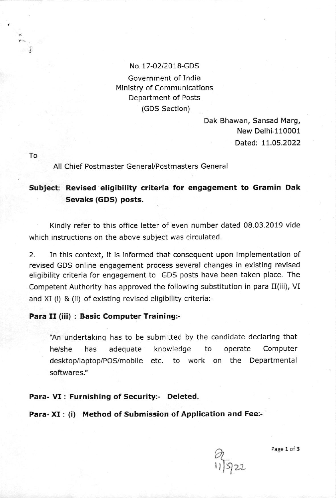## No. 17-02/2018-GDS

Government of India Ministry of Communications Department of Posts (GDS Section)

> Dak Bhawan, Sansad Marg, New Delhi-110001 Dated: 11.05.2022

To

All Chief Postmaster General/Postmasters General

# Subject: Revised eligibility criteria for engagement to Gramin Dak Sevaks (GDS) posts,

Kindly refer to this office letter of even number dated 08.03.2019 vide which instructions on the above subject was circulated.

2. In this context, it is informed that consequent upon implementation of revised GDS online engagement process several changes in existing revised eligibility criteria for engagement to GDS posts have been taken place. The Competent Authority has approved the following substitution in para II(iii), VI and XI (i) & (ii) of existing revised eligibility criteria:-

### Para II (iii) : Basic Computer Training:-

"An undertaking has to be submitted by the candidate declaring that he/she has adequate knowledge to operate Computer desktop/laptop/PoS/mobile etc. to work on the Departmental softwares."

Para- VI: Furnishing of Security:- Deleted.

Para- XI : (i) Method of Submission of Application and Fee:-



Page 1 of 3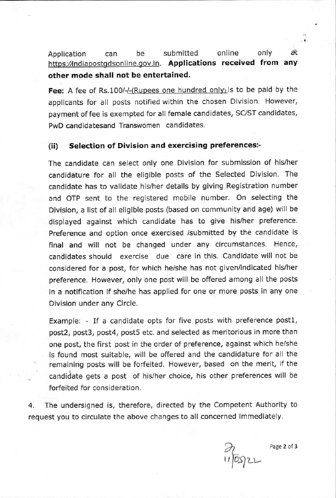Application can be submitted online only at Application can be submitted online only at<br>https://indiapostgdsonline.gov.in</u>. **Applications received from any** other mode shall not be entertained.

Fee: A fee of Rs.100/-/-(Rupees one hundred only) is to be paid by the applicants for all posts notified within the chosen Division. However, payment offee is exempted for all female candidates, SC/ST candidates, PwD candidatesand Transwomen candidates.

#### (ii) Selection of Division and exercising preferences:-

The candidate can select only one Division for submission of his/her candidature for all the eligible posts of the Selected Division. The candidate has to validate his/her details by giving Registration number and OTP sent to the registered mobile number. On selecting the Division, a list of all eligible posts (based on community and age) will be displayed against which candidate has to give his/her preference. Preference and option once exercised /submitted by the candidate is final and will not be changed under any circumstances. Hence, candidates should exercise due care in this. Candidate will not be considered for a post, for which he/she has not given/indicated his/her preference. However, only one post will be offered among all the posts in a notification if she/he has applied for one or more posts in any one Division under any Circle.

Example: - If a candidate opts for five posts with preference post1, post2, post3, post4, post5 etc. and selected as meritorious in more than one post, the first post in the order of preference, against which he/she is found most sultable, will be offered and the candidature for all the remaining posts will be forfeited. However, based on the merit, if the candidate gets a post of his/her choice, his other preferences will be forfeited for consideration.

4. The undersigned is, therefore, directed by the Competeht Authority to request you to circulate the above changes to all concerned immediately.

h  $110522$ 

Page 2 of 3